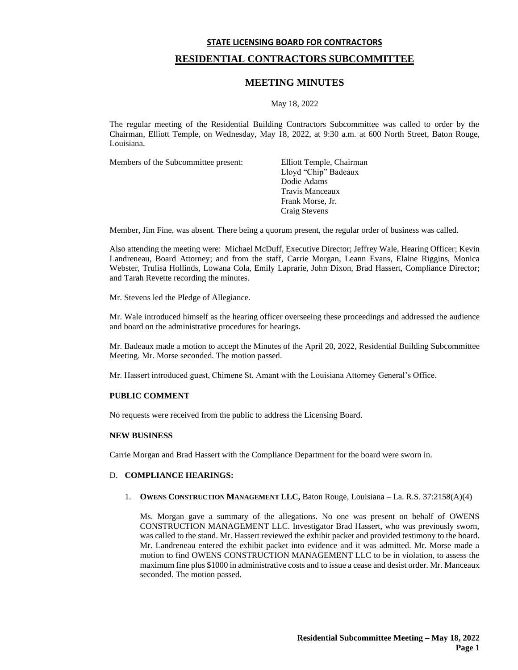# **STATE LICENSING BOARD FOR CONTRACTORS RESIDENTIAL CONTRACTORS SUBCOMMITTEE**

## **MEETING MINUTES**

May 18, 2022

The regular meeting of the Residential Building Contractors Subcommittee was called to order by the Chairman, Elliott Temple, on Wednesday, May 18, 2022, at 9:30 a.m. at 600 North Street, Baton Rouge, Louisiana.

Members of the Subcommittee present: Elliott Temple, Chairman

Lloyd "Chip" Badeaux Dodie Adams Travis Manceaux Frank Morse, Jr. Craig Stevens

Member, Jim Fine, was absent. There being a quorum present, the regular order of business was called.

Also attending the meeting were: Michael McDuff, Executive Director; Jeffrey Wale, Hearing Officer; Kevin Landreneau, Board Attorney; and from the staff, Carrie Morgan, Leann Evans, Elaine Riggins, Monica Webster, Trulisa Hollinds, Lowana Cola, Emily Laprarie, John Dixon, Brad Hassert, Compliance Director; and Tarah Revette recording the minutes.

Mr. Stevens led the Pledge of Allegiance.

Mr. Wale introduced himself as the hearing officer overseeing these proceedings and addressed the audience and board on the administrative procedures for hearings.

Mr. Badeaux made a motion to accept the Minutes of the April 20, 2022, Residential Building Subcommittee Meeting. Mr. Morse seconded. The motion passed.

Mr. Hassert introduced guest, Chimene St. Amant with the Louisiana Attorney General's Office.

## **PUBLIC COMMENT**

No requests were received from the public to address the Licensing Board.

## **NEW BUSINESS**

Carrie Morgan and Brad Hassert with the Compliance Department for the board were sworn in.

## D. **COMPLIANCE HEARINGS:**

1. **OWENS CONSTRUCTION MANAGEMENT LLC,** Baton Rouge, Louisiana – La. R.S. 37:2158(A)(4)

Ms. Morgan gave a summary of the allegations. No one was present on behalf of OWENS CONSTRUCTION MANAGEMENT LLC. Investigator Brad Hassert, who was previously sworn, was called to the stand. Mr. Hassert reviewed the exhibit packet and provided testimony to the board. Mr. Landreneau entered the exhibit packet into evidence and it was admitted. Mr. Morse made a motion to find OWENS CONSTRUCTION MANAGEMENT LLC to be in violation, to assess the maximum fine plus \$1000 in administrative costs and to issue a cease and desist order. Mr. Manceaux seconded. The motion passed.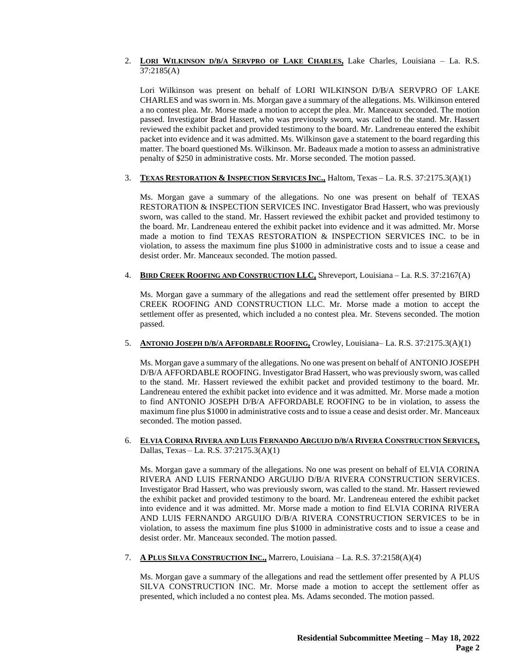## 2. **LORI WILKINSON D/B/A SERVPRO OF LAKE CHARLES,** Lake Charles, Louisiana – La. R.S. 37:2185(A)

Lori Wilkinson was present on behalf of LORI WILKINSON D/B/A SERVPRO OF LAKE CHARLES and was sworn in. Ms. Morgan gave a summary of the allegations. Ms. Wilkinson entered a no contest plea. Mr. Morse made a motion to accept the plea. Mr. Manceaux seconded. The motion passed. Investigator Brad Hassert, who was previously sworn, was called to the stand. Mr. Hassert reviewed the exhibit packet and provided testimony to the board. Mr. Landreneau entered the exhibit packet into evidence and it was admitted. Ms. Wilkinson gave a statement to the board regarding this matter. The board questioned Ms. Wilkinson. Mr. Badeaux made a motion to assess an administrative penalty of \$250 in administrative costs. Mr. Morse seconded. The motion passed.

## 3. **TEXAS RESTORATION & INSPECTION SERVICES INC.,** Haltom, Texas – La. R.S. 37:2175.3(A)(1)

Ms. Morgan gave a summary of the allegations. No one was present on behalf of TEXAS RESTORATION & INSPECTION SERVICES INC. Investigator Brad Hassert, who was previously sworn, was called to the stand. Mr. Hassert reviewed the exhibit packet and provided testimony to the board. Mr. Landreneau entered the exhibit packet into evidence and it was admitted. Mr. Morse made a motion to find TEXAS RESTORATION & INSPECTION SERVICES INC. to be in violation, to assess the maximum fine plus \$1000 in administrative costs and to issue a cease and desist order. Mr. Manceaux seconded. The motion passed.

#### 4. **BIRD CREEK ROOFING AND CONSTRUCTION LLC,** Shreveport, Louisiana – La. R.S. 37:2167(A)

Ms. Morgan gave a summary of the allegations and read the settlement offer presented by BIRD CREEK ROOFING AND CONSTRUCTION LLC. Mr. Morse made a motion to accept the settlement offer as presented, which included a no contest plea. Mr. Stevens seconded. The motion passed.

## 5. **ANTONIO JOSEPH D/B/A AFFORDABLE ROOFING,** Crowley, Louisiana– La. R.S. 37:2175.3(A)(1)

Ms. Morgan gave a summary of the allegations. No one was present on behalf of ANTONIO JOSEPH D/B/A AFFORDABLE ROOFING. Investigator Brad Hassert, who was previously sworn, was called to the stand. Mr. Hassert reviewed the exhibit packet and provided testimony to the board. Mr. Landreneau entered the exhibit packet into evidence and it was admitted. Mr. Morse made a motion to find ANTONIO JOSEPH D/B/A AFFORDABLE ROOFING to be in violation, to assess the maximum fine plus \$1000 in administrative costs and to issue a cease and desist order. Mr. Manceaux seconded. The motion passed.

#### 6. ELVIA CORINA RIVERA AND LUIS FERNANDO ARGUIJO D/B/A RIVERA CONSTRUCTION SERVICES, Dallas, Texas – La. R.S. 37:2175.3(A)(1)

Ms. Morgan gave a summary of the allegations. No one was present on behalf of ELVIA CORINA RIVERA AND LUIS FERNANDO ARGUIJO D/B/A RIVERA CONSTRUCTION SERVICES. Investigator Brad Hassert, who was previously sworn, was called to the stand. Mr. Hassert reviewed the exhibit packet and provided testimony to the board. Mr. Landreneau entered the exhibit packet into evidence and it was admitted. Mr. Morse made a motion to find ELVIA CORINA RIVERA AND LUIS FERNANDO ARGUIJO D/B/A RIVERA CONSTRUCTION SERVICES to be in violation, to assess the maximum fine plus \$1000 in administrative costs and to issue a cease and desist order. Mr. Manceaux seconded. The motion passed.

## 7. **A PLUS SILVA CONSTRUCTION INC.,** Marrero, Louisiana – La. R.S. 37:2158(A)(4)

Ms. Morgan gave a summary of the allegations and read the settlement offer presented by A PLUS SILVA CONSTRUCTION INC. Mr. Morse made a motion to accept the settlement offer as presented, which included a no contest plea. Ms. Adams seconded. The motion passed.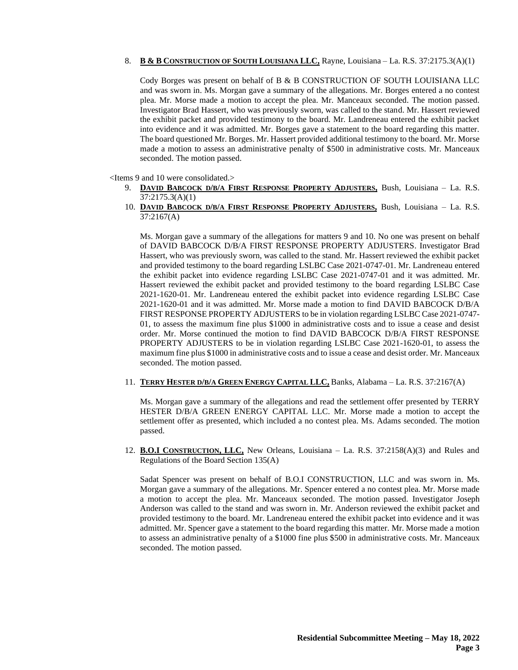## 8. **B & B CONSTRUCTION OF SOUTH LOUISIANA LLC,** Rayne, Louisiana – La. R.S. 37:2175.3(A)(1)

Cody Borges was present on behalf of B & B CONSTRUCTION OF SOUTH LOUISIANA LLC and was sworn in. Ms. Morgan gave a summary of the allegations. Mr. Borges entered a no contest plea. Mr. Morse made a motion to accept the plea. Mr. Manceaux seconded. The motion passed. Investigator Brad Hassert, who was previously sworn, was called to the stand. Mr. Hassert reviewed the exhibit packet and provided testimony to the board. Mr. Landreneau entered the exhibit packet into evidence and it was admitted. Mr. Borges gave a statement to the board regarding this matter. The board questioned Mr. Borges. Mr. Hassert provided additional testimony to the board. Mr. Morse made a motion to assess an administrative penalty of \$500 in administrative costs. Mr. Manceaux seconded. The motion passed.

<Items 9 and 10 were consolidated.>

- 9. **DAVID BABCOCK D/B/A FIRST RESPONSE PROPERTY ADJUSTERS,** Bush, Louisiana La. R.S. 37:2175.3(A)(1)
- 10. **DAVID BABCOCK D/B/A FIRST RESPONSE PROPERTY ADJUSTERS,** Bush, Louisiana La. R.S. 37:2167(A)

Ms. Morgan gave a summary of the allegations for matters 9 and 10. No one was present on behalf of DAVID BABCOCK D/B/A FIRST RESPONSE PROPERTY ADJUSTERS. Investigator Brad Hassert, who was previously sworn, was called to the stand. Mr. Hassert reviewed the exhibit packet and provided testimony to the board regarding LSLBC Case 2021-0747-01. Mr. Landreneau entered the exhibit packet into evidence regarding LSLBC Case 2021-0747-01 and it was admitted. Mr. Hassert reviewed the exhibit packet and provided testimony to the board regarding LSLBC Case 2021-1620-01. Mr. Landreneau entered the exhibit packet into evidence regarding LSLBC Case 2021-1620-01 and it was admitted. Mr. Morse made a motion to find DAVID BABCOCK D/B/A FIRST RESPONSE PROPERTY ADJUSTERS to be in violation regarding LSLBC Case 2021-0747- 01, to assess the maximum fine plus \$1000 in administrative costs and to issue a cease and desist order. Mr. Morse continued the motion to find DAVID BABCOCK D/B/A FIRST RESPONSE PROPERTY ADJUSTERS to be in violation regarding LSLBC Case 2021-1620-01, to assess the maximum fine plus \$1000 in administrative costs and to issue a cease and desist order. Mr. Manceaux seconded. The motion passed.

#### 11. **TERRY HESTER D/B/A GREEN ENERGY CAPITAL LLC,** Banks, Alabama – La. R.S. 37:2167(A)

Ms. Morgan gave a summary of the allegations and read the settlement offer presented by TERRY HESTER D/B/A GREEN ENERGY CAPITAL LLC. Mr. Morse made a motion to accept the settlement offer as presented, which included a no contest plea. Ms. Adams seconded. The motion passed.

12. **B.O.I CONSTRUCTION, LLC,** New Orleans, Louisiana – La. R.S. 37:2158(A)(3) and Rules and Regulations of the Board Section 135(A)

Sadat Spencer was present on behalf of B.O.I CONSTRUCTION, LLC and was sworn in. Ms. Morgan gave a summary of the allegations. Mr. Spencer entered a no contest plea. Mr. Morse made a motion to accept the plea. Mr. Manceaux seconded. The motion passed. Investigator Joseph Anderson was called to the stand and was sworn in. Mr. Anderson reviewed the exhibit packet and provided testimony to the board. Mr. Landreneau entered the exhibit packet into evidence and it was admitted. Mr. Spencer gave a statement to the board regarding this matter. Mr. Morse made a motion to assess an administrative penalty of a \$1000 fine plus \$500 in administrative costs. Mr. Manceaux seconded. The motion passed.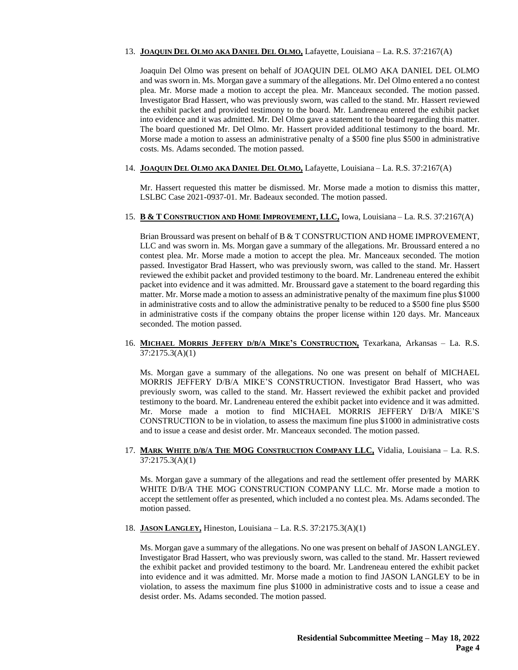## 13. **JOAQUIN DEL OLMO AKA DANIEL DEL OLMO,** Lafayette, Louisiana – La. R.S. 37:2167(A)

Joaquin Del Olmo was present on behalf of JOAQUIN DEL OLMO AKA DANIEL DEL OLMO and was sworn in. Ms. Morgan gave a summary of the allegations. Mr. Del Olmo entered a no contest plea. Mr. Morse made a motion to accept the plea. Mr. Manceaux seconded. The motion passed. Investigator Brad Hassert, who was previously sworn, was called to the stand. Mr. Hassert reviewed the exhibit packet and provided testimony to the board. Mr. Landreneau entered the exhibit packet into evidence and it was admitted. Mr. Del Olmo gave a statement to the board regarding this matter. The board questioned Mr. Del Olmo. Mr. Hassert provided additional testimony to the board. Mr. Morse made a motion to assess an administrative penalty of a \$500 fine plus \$500 in administrative costs. Ms. Adams seconded. The motion passed.

#### 14. **JOAQUIN DEL OLMO AKA DANIEL DEL OLMO,** Lafayette, Louisiana – La. R.S. 37:2167(A)

Mr. Hassert requested this matter be dismissed. Mr. Morse made a motion to dismiss this matter, LSLBC Case 2021-0937-01. Mr. Badeaux seconded. The motion passed.

#### 15. **B & T CONSTRUCTION AND HOME IMPROVEMENT, LLC,** Iowa, Louisiana – La. R.S. 37:2167(A)

Brian Broussard was present on behalf of B & T CONSTRUCTION AND HOME IMPROVEMENT, LLC and was sworn in. Ms. Morgan gave a summary of the allegations. Mr. Broussard entered a no contest plea. Mr. Morse made a motion to accept the plea. Mr. Manceaux seconded. The motion passed. Investigator Brad Hassert, who was previously sworn, was called to the stand. Mr. Hassert reviewed the exhibit packet and provided testimony to the board. Mr. Landreneau entered the exhibit packet into evidence and it was admitted. Mr. Broussard gave a statement to the board regarding this matter. Mr. Morse made a motion to assess an administrative penalty of the maximum fine plus \$1000 in administrative costs and to allow the administrative penalty to be reduced to a \$500 fine plus \$500 in administrative costs if the company obtains the proper license within 120 days. Mr. Manceaux seconded. The motion passed.

## 16. **MICHAEL MORRIS JEFFERY D/B/A MIKE'S CONSTRUCTION,** Texarkana, Arkansas – La. R.S. 37:2175.3(A)(1)

Ms. Morgan gave a summary of the allegations. No one was present on behalf of MICHAEL MORRIS JEFFERY D/B/A MIKE'S CONSTRUCTION. Investigator Brad Hassert, who was previously sworn, was called to the stand. Mr. Hassert reviewed the exhibit packet and provided testimony to the board. Mr. Landreneau entered the exhibit packet into evidence and it was admitted. Mr. Morse made a motion to find MICHAEL MORRIS JEFFERY D/B/A MIKE'S CONSTRUCTION to be in violation, to assess the maximum fine plus \$1000 in administrative costs and to issue a cease and desist order. Mr. Manceaux seconded. The motion passed.

#### 17. **MARK WHITE D/B/A THE MOG CONSTRUCTION COMPANY LLC,** Vidalia, Louisiana – La. R.S. 37:2175.3(A)(1)

Ms. Morgan gave a summary of the allegations and read the settlement offer presented by MARK WHITE D/B/A THE MOG CONSTRUCTION COMPANY LLC. Mr. Morse made a motion to accept the settlement offer as presented, which included a no contest plea. Ms. Adams seconded. The motion passed.

18. **JASON LANGLEY,** Hineston, Louisiana – La. R.S. 37:2175.3(A)(1)

Ms. Morgan gave a summary of the allegations. No one was present on behalf of JASON LANGLEY. Investigator Brad Hassert, who was previously sworn, was called to the stand. Mr. Hassert reviewed the exhibit packet and provided testimony to the board. Mr. Landreneau entered the exhibit packet into evidence and it was admitted. Mr. Morse made a motion to find JASON LANGLEY to be in violation, to assess the maximum fine plus \$1000 in administrative costs and to issue a cease and desist order. Ms. Adams seconded. The motion passed.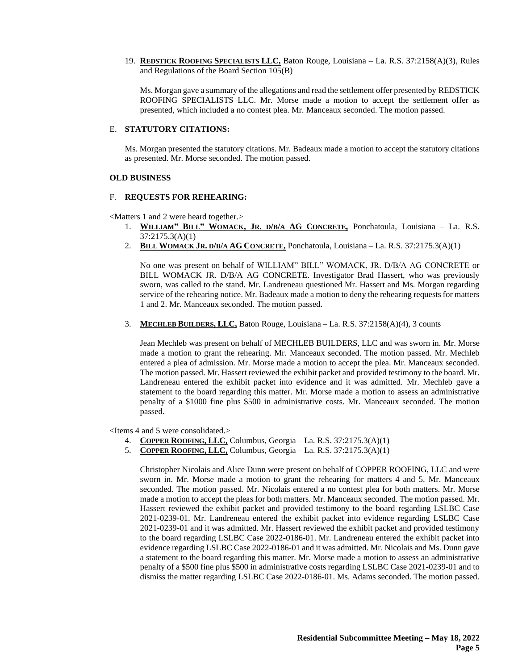19. **REDSTICK ROOFING SPECIALISTS LLC,** Baton Rouge, Louisiana – La. R.S. 37:2158(A)(3), Rules and Regulations of the Board Section 105(B)

Ms. Morgan gave a summary of the allegations and read the settlement offer presented by REDSTICK ROOFING SPECIALISTS LLC. Mr. Morse made a motion to accept the settlement offer as presented, which included a no contest plea. Mr. Manceaux seconded. The motion passed.

#### E. **STATUTORY CITATIONS:**

Ms. Morgan presented the statutory citations. Mr. Badeaux made a motion to accept the statutory citations as presented. Mr. Morse seconded. The motion passed.

#### **OLD BUSINESS**

#### F. **REQUESTS FOR REHEARING:**

<Matters 1 and 2 were heard together.>

- 1. WILLIAM" BILL" WOMACK, JR. D/B/A AG CONCRETE, Ponchatoula, Louisiana La. R.S. 37:2175.3(A)(1)
- 2. **BILL WOMACK JR. D/B/A AG CONCRETE,** Ponchatoula, Louisiana La. R.S. 37:2175.3(A)(1)

No one was present on behalf of WILLIAM" BILL" WOMACK, JR. D/B/A AG CONCRETE or BILL WOMACK JR. D/B/A AG CONCRETE. Investigator Brad Hassert, who was previously sworn, was called to the stand. Mr. Landreneau questioned Mr. Hassert and Ms. Morgan regarding service of the rehearing notice. Mr. Badeaux made a motion to deny the rehearing requests for matters 1 and 2. Mr. Manceaux seconded. The motion passed.

3. **MECHLEB BUILDERS, LLC,** Baton Rouge, Louisiana – La. R.S. 37:2158(A)(4), 3 counts

Jean Mechleb was present on behalf of MECHLEB BUILDERS, LLC and was sworn in. Mr. Morse made a motion to grant the rehearing. Mr. Manceaux seconded. The motion passed. Mr. Mechleb entered a plea of admission. Mr. Morse made a motion to accept the plea. Mr. Manceaux seconded. The motion passed. Mr. Hassert reviewed the exhibit packet and provided testimony to the board. Mr. Landreneau entered the exhibit packet into evidence and it was admitted. Mr. Mechleb gave a statement to the board regarding this matter. Mr. Morse made a motion to assess an administrative penalty of a \$1000 fine plus \$500 in administrative costs. Mr. Manceaux seconded. The motion passed.

<Items 4 and 5 were consolidated.>

- 4. **COPPER ROOFING, LLC,** Columbus, Georgia La. R.S. 37:2175.3(A)(1)
- 5. **COPPER ROOFING, LLC,** Columbus, Georgia La. R.S. 37:2175.3(A)(1)

Christopher Nicolais and Alice Dunn were present on behalf of COPPER ROOFING, LLC and were sworn in. Mr. Morse made a motion to grant the rehearing for matters 4 and 5. Mr. Manceaux seconded. The motion passed. Mr. Nicolais entered a no contest plea for both matters. Mr. Morse made a motion to accept the pleas for both matters. Mr. Manceaux seconded. The motion passed. Mr. Hassert reviewed the exhibit packet and provided testimony to the board regarding LSLBC Case 2021-0239-01. Mr. Landreneau entered the exhibit packet into evidence regarding LSLBC Case 2021-0239-01 and it was admitted. Mr. Hassert reviewed the exhibit packet and provided testimony to the board regarding LSLBC Case 2022-0186-01. Mr. Landreneau entered the exhibit packet into evidence regarding LSLBC Case 2022-0186-01 and it was admitted. Mr. Nicolais and Ms. Dunn gave a statement to the board regarding this matter. Mr. Morse made a motion to assess an administrative penalty of a \$500 fine plus \$500 in administrative costs regarding LSLBC Case 2021-0239-01 and to dismiss the matter regarding LSLBC Case 2022-0186-01. Ms. Adams seconded. The motion passed.